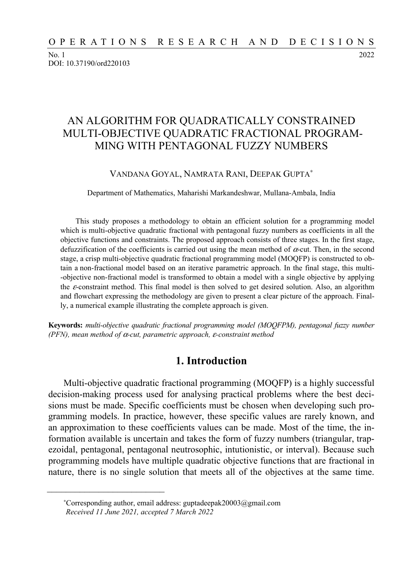No. 1 2022 DOI: 10.37190/ord220103

# AN ALGORITHM FOR QUADRATICALLY CONSTRAINED MULTI-OBJECTIVE QUADRATIC FRACTIONAL PROGRAM-MING WITH PENTAGONAL FUZZY NUMBERS

#### VANDANA GOYAL, NAMRATA RANI, DEEPAK GUPTA<sup>∗</sup>

Department of Mathematics, Maharishi Markandeshwar, Mullana-Ambala, India

This study proposes a methodology to obtain an efficient solution for a programming model which is multi-objective quadratic fractional with pentagonal fuzzy numbers as coefficients in all the objective functions and constraints. The proposed approach consists of three stages. In the first stage, defuzzification of the coefficients is carried out using the mean method of  $\alpha$ -cut. Then, in the second stage, a crisp multi-objective quadratic fractional programming model (MOQFP) is constructed to obtain a non-fractional model based on an iterative parametric approach. In the final stage, this multi- -objective non-fractional model is transformed to obtain a model with a single objective by applying the ε-constraint method. This final model is then solved to get desired solution. Also, an algorithm and flowchart expressing the methodology are given to present a clear picture of the approach. Finally, a numerical example illustrating the complete approach is given.

**Keywords:** *multi-objective quadratic fractional programming model (MOQFPM), pentagonal fuzzy number (PFN), mean method of* α*-cut, parametric approach,* ε*-constraint method* 

## **1. Introduction**

Multi-objective quadratic fractional programming (MOQFP) is a highly successful decision-making process used for analysing practical problems where the best decisions must be made. Specific coefficients must be chosen when developing such programming models. In practice, however, these specific values are rarely known, and an approximation to these coefficients values can be made. Most of the time, the information available is uncertain and takes the form of fuzzy numbers (triangular, trapezoidal, pentagonal, pentagonal neutrosophic, intutionistic, or interval). Because such programming models have multiple quadratic objective functions that are fractional in nature, there is no single solution that meets all of the objectives at the same time.

 $\frac{1}{2}$  ,  $\frac{1}{2}$  ,  $\frac{1}{2}$  ,  $\frac{1}{2}$  ,  $\frac{1}{2}$  ,  $\frac{1}{2}$  ,  $\frac{1}{2}$  ,  $\frac{1}{2}$  ,  $\frac{1}{2}$  ,  $\frac{1}{2}$  ,  $\frac{1}{2}$  ,  $\frac{1}{2}$  ,  $\frac{1}{2}$  ,  $\frac{1}{2}$  ,  $\frac{1}{2}$  ,  $\frac{1}{2}$  ,  $\frac{1}{2}$  ,  $\frac{1}{2}$  ,  $\frac{1$ 

<sup>∗</sup>Corresponding author, email address: guptadeepak20003@gmail.com *Received 11 June 2021, accepted 7 March 2022*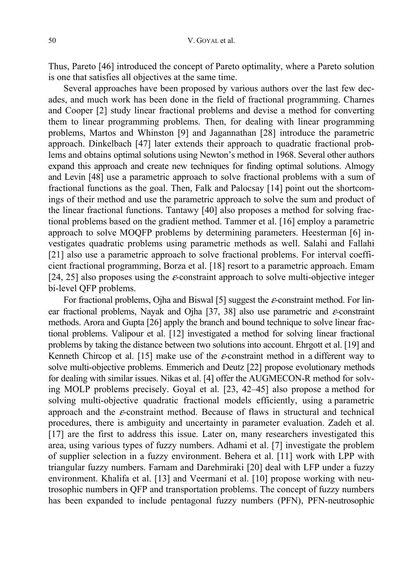Thus, Pareto [46] introduced the concept of Pareto optimality, where a Pareto solution is one that satisfies all objectives at the same time.

Several approaches have been proposed by various authors over the last few decades, and much work has been done in the field of fractional programming. Charnes and Cooper [2] study linear fractional problems and devise a method for converting them to linear programming problems. Then, for dealing with linear programming problems, Martos and Whinston [9] and Jagannathan [28] introduce the parametric approach. Dinkelbach [47] later extends their approach to quadratic fractional problems and obtains optimal solutions using Newton's method in 1968. Several other authors expand this approach and create new techniques for finding optimal solutions. Almogy and Levin [48] use a parametric approach to solve fractional problems with a sum of fractional functions as the goal. Then, Falk and Palocsay [14] point out the shortcomings of their method and use the parametric approach to solve the sum and product of the linear fractional functions. Tantawy [40] also proposes a method for solving fractional problems based on the gradient method. Tammer et al. [16] employ a parametric approach to solve MOQFP problems by determining parameters. Heesterman [6] investigates quadratic problems using parametric methods as well. Salahi and Fallahi [21] also use a parametric approach to solve fractional problems. For interval coefficient fractional programming, Borza et al. [18] resort to a parametric approach. Emam [24, 25] also proposes using the  $\varepsilon$ -constraint approach to solve multi-objective integer bi-level QFP problems.

For fractional problems, Ojha and Biswal [5] suggest the ε-constraint method. For linear fractional problems, Nayak and Ojha [37, 38] also use parametric and  $\varepsilon$ -constraint methods. Arora and Gupta [26] apply the branch and bound technique to solve linear fractional problems. Valipour et al. [12] investigated a method for solving linear fractional problems by taking the distance between two solutions into account. Ehrgott et al. [19] and Kenneth Chircop et al. [15] make use of the ε-constraint method in a different way to solve multi-objective problems. Emmerich and Deutz [22] propose evolutionary methods for dealing with similar issues. Nikas et al. [4] offer the AUGMECON-R method for solving MOLP problems precisely. Goyal et al. [23, 42–45] also propose a method for solving multi-objective quadratic fractional models efficiently, using a parametric approach and the  $\varepsilon$ -constraint method. Because of flaws in structural and technical procedures, there is ambiguity and uncertainty in parameter evaluation. Zadeh et al. [17] are the first to address this issue. Later on, many researchers investigated this area, using various types of fuzzy numbers. Adhami et al. [7] investigate the problem of supplier selection in a fuzzy environment. Behera et al. [11] work with LPP with triangular fuzzy numbers. Farnam and Darehmiraki [20] deal with LFP under a fuzzy environment. Khalifa et al. [13] and Veermani et al. [10] propose working with neutrosophic numbers in QFP and transportation problems. The concept of fuzzy numbers has been expanded to include pentagonal fuzzy numbers (PFN), PFN-neutrosophic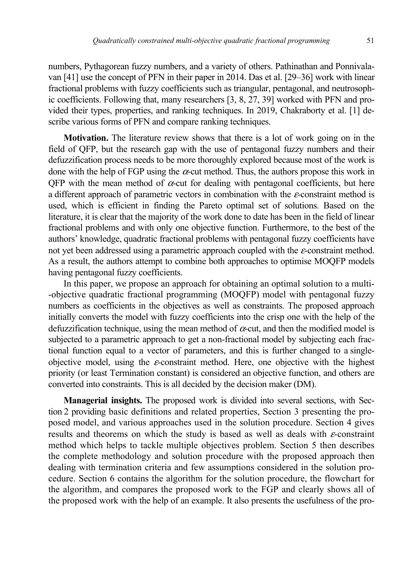numbers, Pythagorean fuzzy numbers, and a variety of others. Pathinathan and Ponnivalavan [41] use the concept of PFN in their paper in 2014. Das et al. [29–36] work with linear fractional problems with fuzzy coefficients such as triangular, pentagonal, and neutrosophic coefficients. Following that, many researchers [3, 8, 27, 39] worked with PFN and provided their types, properties, and ranking techniques. In 2019, Chakraborty et al. [1] describe various forms of PFN and compare ranking techniques.

**Motivation.** The literature review shows that there is a lot of work going on in the field of QFP, but the research gap with the use of pentagonal fuzzy numbers and their defuzzification process needs to be more thoroughly explored because most of the work is done with the help of FGP using the  $\alpha$ -cut method. Thus, the authors propose this work in QFP with the mean method of  $\alpha$ -cut for dealing with pentagonal coefficients, but here a different approach of parametric vectors in combination with the  $\varepsilon$ -constraint method is used, which is efficient in finding the Pareto optimal set of solutions. Based on the literature, it is clear that the majority of the work done to date has been in the field of linear fractional problems and with only one objective function. Furthermore, to the best of the authors' knowledge, quadratic fractional problems with pentagonal fuzzy coefficients have not yet been addressed using a parametric approach coupled with the  $\varepsilon$ -constraint method. As a result, the authors attempt to combine both approaches to optimise MOQFP models having pentagonal fuzzy coefficients.

In this paper, we propose an approach for obtaining an optimal solution to a multi- -objective quadratic fractional programming (MOQFP) model with pentagonal fuzzy numbers as coefficients in the objectives as well as constraints. The proposed approach initially converts the model with fuzzy coefficients into the crisp one with the help of the defuzzification technique, using the mean method of  $\alpha$ -cut, and then the modified model is subjected to a parametric approach to get a non-fractional model by subjecting each fractional function equal to a vector of parameters, and this is further changed to a singleobjective model, using the  $\varepsilon$ -constraint method. Here, one objective with the highest priority (or least Termination constant) is considered an objective function, and others are converted into constraints. This is all decided by the decision maker (DM).

**Managerial insights.** The proposed work is divided into several sections, with Section 2 providing basic definitions and related properties, Section 3 presenting the proposed model, and various approaches used in the solution procedure. Section 4 gives results and theorems on which the study is based as well as deals with  $\varepsilon$ -constraint method which helps to tackle multiple objectives problem. Section 5 then describes the complete methodology and solution procedure with the proposed approach then dealing with termination criteria and few assumptions considered in the solution procedure. Section 6 contains the algorithm for the solution procedure, the flowchart for the algorithm, and compares the proposed work to the FGP and clearly shows all of the proposed work with the help of an example. It also presents the usefulness of the pro-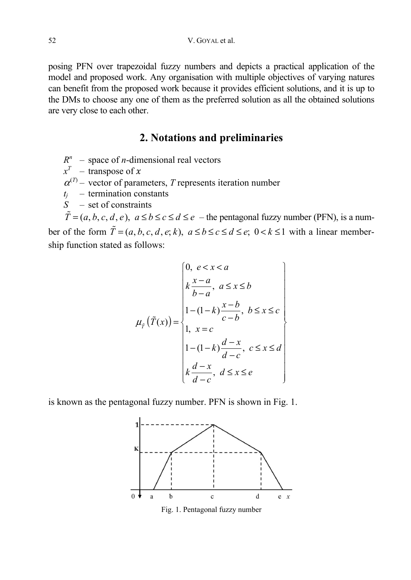posing PFN over trapezoidal fuzzy numbers and depicts a practical application of the model and proposed work. Any organisation with multiple objectives of varying natures can benefit from the proposed work because it provides efficient solutions, and it is up to the DMs to choose any one of them as the preferred solution as all the obtained solutions are very close to each other.

## **2. Notations and preliminaries**

- $R^n$  space of *n*-dimensional real vectors
- $x^T$  transpose of x
- $\alpha^{(T)}$  vector of parameters, *T* represents iteration number
- $t_i$  termination constants
- *S* set of constraints

 $\tilde{T} = (a, b, c, d, e), a \le b \le c \le d \le e$  – the pentagonal fuzzy number (PFN), is a number of the form  $\tilde{T} = (a, b, c, d, e; k)$ ,  $a \le b \le c \le d \le e$ ;  $0 < k \le 1$  with a linear membership function stated as follows:

$$
\mu_{\tilde{r}}\left(\tilde{T}(x)\right) = \begin{cases}\n0, & e < x < a \\
k\frac{x-a}{b-a}, & a \le x \le b \\
1-(1-k)\frac{x-b}{c-b}, & b \le x \le c \\
1, & x = c \\
1-(1-k)\frac{d-x}{d-c}, & c \le x \le d \\
k\frac{d-x}{d-c}, & d \le x \le e\n\end{cases}
$$

is known as the pentagonal fuzzy number. PFN is shown in Fig. 1.



Fig. 1. Pentagonal fuzzy number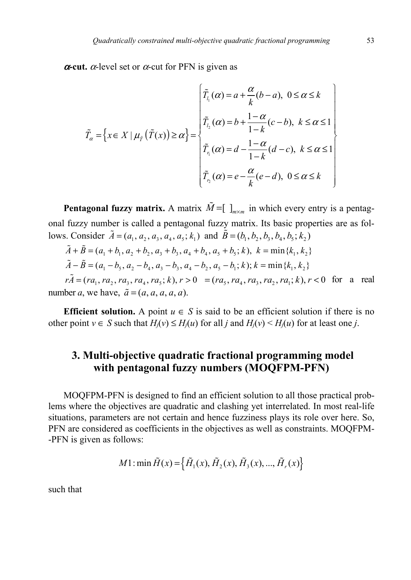$\alpha$ -cut.  $\alpha$ -level set or  $\alpha$ -cut for PFN is given as

$$
\tilde{T}_{\alpha} = \left\{ x \in X \mid \mu_{\tilde{T}}\left(\tilde{T}(x)\right) \geq \alpha \right\} = \begin{cases}\n\tilde{T}_{l_1}(\alpha) = a + \frac{\alpha}{k}(b - a), & 0 \leq \alpha \leq k \\
\tilde{T}_{l_2}(\alpha) = b + \frac{1 - \alpha}{1 - k}(c - b), & k \leq \alpha \leq 1 \\
\tilde{T}_{l_1}(\alpha) = d - \frac{1 - \alpha}{1 - k}(d - c), & k \leq \alpha \leq 1 \\
\tilde{T}_{l_2}(\alpha) = e - \frac{\alpha}{k}(e - d), & 0 \leq \alpha \leq k\n\end{cases}
$$

**Pentagonal fuzzy matrix.** A matrix  $\tilde{M} = [\int_{m \times m}^{\infty}$  in which every entry is a pentagonal fuzzy number is called a pentagonal fuzzy matrix. Its basic properties are as follows. Consider  $\tilde{A} = (a_1, a_2, a_3, a_4, a_5; k_1)$  and  $\tilde{B} = (b_1, b_2, b_3, b_4, b_5; k_2)$ 

$$
\tilde{A} + \tilde{B} = (a_1 + b_1, a_2 + b_2, a_3 + b_3, a_4 + b_4, a_5 + b_5; k), k = \min\{k_1, k_2\}
$$
  

$$
\tilde{A} - \tilde{B} = (a_1 - b_5, a_2 - b_4, a_3 - b_3, a_4 - b_2, a_5 - b_1; k); k = \min\{k_1, k_2\}
$$

 $r\tilde{A} = (ra_1, ra_2, ra_3, ra_4, ra_5; k), r > 0 = (ra_5, ra_4, ra_3, ra_2, ra_1; k), r < 0$  for a real number *a*, we have,  $\tilde{a} = (a, a, a, a, a)$ .

**Efficient solution.** A point  $u \in S$  is said to be an efficient solution if there is no other point *v* ∈ *S* such that  $H_i(v)$  ≤  $H_i(u)$  for all *j* and  $H_i(v)$  ≤  $H_i(u)$  for at least one *j*.

# **3. Multi-objective quadratic fractional programming model with pentagonal fuzzy numbers (MOQFPM-PFN)**

MOQFPM-PFN is designed to find an efficient solution to all those practical problems where the objectives are quadratic and clashing yet interrelated. In most real-life situations, parameters are not certain and hence fuzziness plays its role over here. So, PFN are considered as coefficients in the objectives as well as constraints. MOQFPM- -PFN is given as follows:

$$
M1: \min \tilde{H}(x) = \left\{ \tilde{H}_1(x), \tilde{H}_2(x), \tilde{H}_3(x), ..., \tilde{H}_r(x) \right\}
$$

such that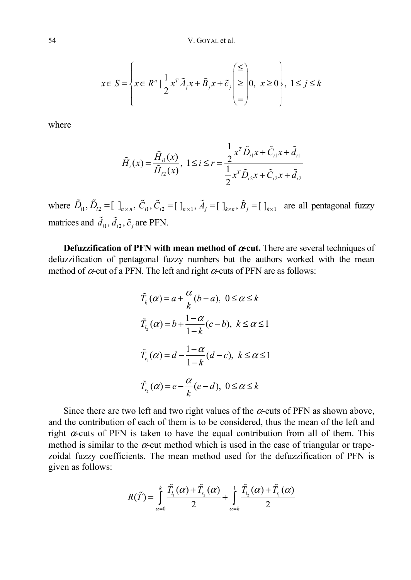$$
x \in S = \left\{ x \in R^n \mid \frac{1}{2} x^T \tilde{A}_j x + \tilde{B}_j x + \tilde{c}_j \begin{pmatrix} \le \\ \ge \\ = \end{pmatrix} 0, \ x \ge 0 \right\}, \ 1 \le j \le k
$$

where

$$
\tilde{H}_i(x) = \frac{\tilde{H}_{i1}(x)}{\tilde{H}_{i2}(x)}, \ 1 \le i \le r = \frac{\frac{1}{2}x^T \tilde{D}_{i1} x + \tilde{C}_{i1} x + \tilde{d}_{i1}}{\frac{1}{2}x^T \tilde{D}_{i2} x + \tilde{C}_{i2} x + \tilde{d}_{i2}}
$$

where  $\tilde{D}_{i1}$ ,  $\tilde{D}_{i2}$  =  $\begin{bmatrix} \int_{n \times n}$ ,  $\tilde{C}_{i1}$ ,  $\tilde{C}_{i2}$  =  $\begin{bmatrix} \int_{n \times 1} A_j = \end{bmatrix}$   $\begin{bmatrix} \int_{k \times n} & \tilde{B}_j = \end{bmatrix}$   $\begin{bmatrix} \int_{k \times 1} & \text{are all pentagonal fuzzy} \end{bmatrix}$ matrices and  $\tilde{d}_{i1}$ ,  $\tilde{d}_{i2}$ ,  $\tilde{c}_i$  are PFN.

**Defuzzification of PFN with mean method of** α**-cut.** There are several techniques of defuzzification of pentagonal fuzzy numbers but the authors worked with the mean method of  $\alpha$ -cut of a PFN. The left and right  $\alpha$ -cuts of PFN are as follows:

$$
\tilde{T}_{l_1}(\alpha) = a + \frac{\alpha}{k}(b - a), \ 0 \le \alpha \le k
$$
\n
$$
\tilde{T}_{l_2}(\alpha) = b + \frac{1 - \alpha}{1 - k}(c - b), \ k \le \alpha \le 1
$$
\n
$$
\tilde{T}_{l_1}(\alpha) = d - \frac{1 - \alpha}{1 - k}(d - c), \ k \le \alpha \le 1
$$
\n
$$
\tilde{T}_{l_2}(\alpha) = e - \frac{\alpha}{k}(e - d), \ 0 \le \alpha \le k
$$

Since there are two left and two right values of the  $\alpha$ -cuts of PFN as shown above, and the contribution of each of them is to be considered, thus the mean of the left and right  $\alpha$ -cuts of PFN is taken to have the equal contribution from all of them. This method is similar to the  $\alpha$ -cut method which is used in the case of triangular or trapezoidal fuzzy coefficients. The mean method used for the defuzzification of PFN is given as follows:

$$
R(\tilde{T}) = \int_{\alpha=0}^{k} \frac{\tilde{T}_{l_1}(\alpha) + \tilde{T}_{r_2}(\alpha)}{2} + \int_{\alpha=k}^{1} \frac{\tilde{T}_{l_2}(\alpha) + \tilde{T}_{r_1}(\alpha)}{2}
$$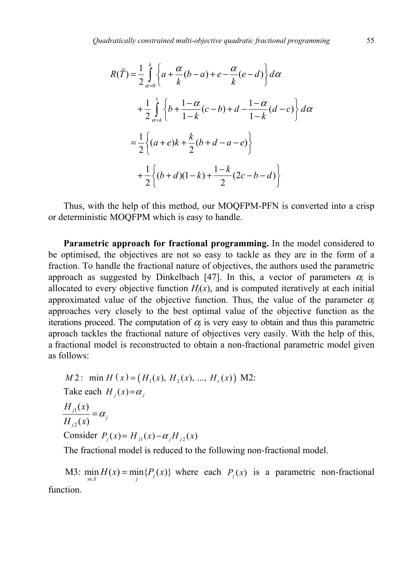$$
R(\tilde{T}) = \frac{1}{2} \int_{\alpha=0}^{k} \left\{ a + \frac{\alpha}{k} (b - a) + e - \frac{\alpha}{k} (e - d) \right\} d\alpha
$$
  
+ 
$$
\frac{1}{2} \int_{\alpha=k}^{1} \left\{ b + \frac{1 - \alpha}{1 - k} (c - b) + d - \frac{1 - \alpha}{1 - k} (d - c) \right\} d\alpha
$$
  
= 
$$
\frac{1}{2} \left\{ (a + e)k + \frac{k}{2} (b + d - a - e) \right\}
$$
  
+ 
$$
\frac{1}{2} \left\{ (b + d)(1 - k) + \frac{1 - k}{2} (2c - b - d) \right\}
$$

Thus, with the help of this method, our MOQFPM-PFN is converted into a crisp or deterministic MOQFPM which is easy to handle.

**Parametric approach for fractional programming.** In the model considered to be optimised, the objectives are not so easy to tackle as they are in the form of a fraction. To handle the fractional nature of objectives, the authors used the parametric approach as suggested by Dinkelbach [47]. In this, a vector of parameters  $\alpha_i$  is allocated to every objective function  $H_j(x)$ , and is computed iteratively at each initial approximated value of the objective function. Thus, the value of the parameter  $\alpha_i$ approaches very closely to the best optimal value of the objective function as the iterations proceed. The computation of  $\alpha_i$  is very easy to obtain and thus this parametric aproach tackles the fractional nature of objectives very easily. With the help of this, a fractional model is reconstructed to obtain a non-fractional parametric model given as follows:

*M*2: min *H* (*x*) = (*H*<sub>1</sub>(*x*), *H*<sub>2</sub>(*x*), ..., *H*<sub>r</sub>(*x*)) *M*2:  
\nTake each 
$$
H_j(x) = \alpha_j
$$
  
\n
$$
\frac{H_{j1}(x)}{H_{j2}(x)} = \alpha_j
$$
\nConsider  $P_j(x) = H_{j1}(x) - \alpha_j H_{j2}(x)$ 

The fractional model is reduced to the following non-fractional model.

M3:  $\min_{x \in S} H(x) = \min_{j} {P_j(x)}$  where each  $P_j(x)$  is a parametric non-fractional function.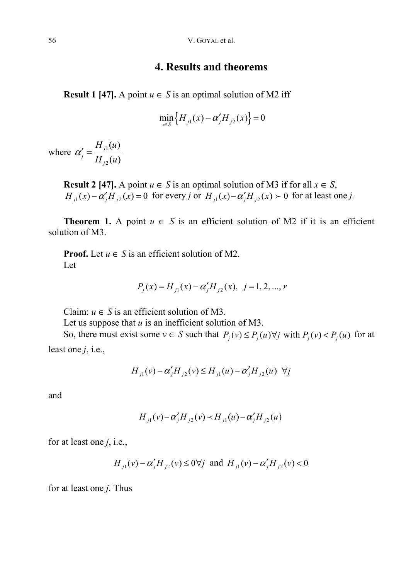### **4. Results and theorems**

**Result 1** [47]. A point  $u \in S$  is an optimal solution of M2 iff

$$
\min_{x \in S} \left\{ H_{j1}(x) - \alpha'_j H_{j2}(x) \right\} = 0
$$

where  $\alpha'_{i} = \frac{H_{j1}}{H_{i}}$ 2  $(u)$  $(u)$ *j j j*  $H_{i1}(u)$  $H_{i2}(u)$  $\alpha'_i =$ 

> **Result 2 [47].** A point  $u \in S$  is an optimal solution of M3 if for all  $x \in S$ ,  $H_{j1}(x) - \alpha'_{j}H_{j2}(x) = 0$  for every *j* or  $H_{j1}(x) - \alpha'_{j}H_{j2}(x) > 0$  for at least one *j*.

**Theorem 1.** A point  $u \in S$  is an efficient solution of M2 if it is an efficient solution of M3.

**Proof.** Let  $u \in S$  is an efficient solution of M2. Let

$$
P_j(x) = H_{j1}(x) - \alpha'_j H_{j2}(x), \ \ j = 1, 2, ..., r
$$

Claim:  $u \in S$  is an efficient solution of M3.

Let us suppose that *u* is an inefficient solution of M3.

So, there must exist some  $v \in S$  such that  $P_j(v) \leq P_j(u) \forall j$  with  $P_j(v) < P_j(u)$  for at least one *j*, i.e.,

$$
H_{i}(v) - \alpha'_{i} H_{i2}(v) \le H_{i}(u) - \alpha'_{i} H_{i2}(u) \ \ \forall j
$$

and

$$
H_{j1}(v) - \alpha'_{j} H_{j2}(v) \prec H_{j1}(u) - \alpha'_{j} H_{j2}(u)
$$

for at least one *j*, i.e.,

$$
H_{j1}(v) - \alpha'_{j} H_{j2}(v) \le 0 \forall j
$$
 and  $H_{j1}(v) - \alpha'_{j} H_{j2}(v) < 0$ 

for at least one *j.* Thus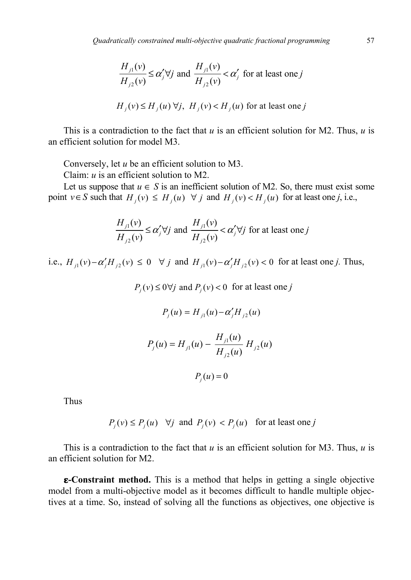$$
\frac{H_{j1}(v)}{H_{j2}(v)} \le \alpha'_j \forall j \text{ and } \frac{H_{j1}(v)}{H_{j2}(v)} < \alpha'_j \text{ for at least one } j
$$
  

$$
H_i(v) \le H_i(u) \forall j, H_i(v) < H_i(u) \text{ for at least one } j
$$

This is a contradiction to the fact that *u* is an efficient solution for M2. Thus, *u* is an efficient solution for model M3.

Conversely, let *u* be an efficient solution to M3.

Claim: *u* is an efficient solution to M2.

Let us suppose that  $u \in S$  is an inefficient solution of M2. So, there must exist some point  $v \in S$  such that  $H_i(v) \leq H_i(u) \ \forall j$  and  $H_i(v) < H_i(u)$  for at least one *j*, i.e.,

$$
\frac{H_{j1}(v)}{H_{j2}(v)} \le \alpha'_j \forall j \text{ and } \frac{H_{j1}(v)}{H_{j2}(v)} < \alpha'_j \forall j \text{ for at least one } j
$$

i.e.,  $H_{i}(v) - \alpha'_{i} H_{i2}(v) \le 0$   $\forall j$  and  $H_{i}(v) - \alpha'_{i} H_{i2}(v) < 0$  for at least one *j*. Thus,

$$
P_j(v) \le 0 \forall j \text{ and } P_j(v) < 0 \text{ for at least one } j
$$
  

$$
P_j(u) = H_{j1}(u) - \alpha'_j H_{j2}(u)
$$
  

$$
P_j(u) = H_{j1}(u) - \frac{H_{j1}(u)}{H_{j2}(u)} H_{j2}(u)
$$
  

$$
P_j(u) = 0
$$

Thus

$$
P_i(v) \le P_i(u)
$$
  $\forall j$  and  $P_i(v) < P_i(u)$  for at least one  $j$ 

This is a contradiction to the fact that *u* is an efficient solution for M3. Thus, *u* is an efficient solution for M2.

**-Constraint method.** This is a method that helps in getting a single objective model from a multi-objective model as it becomes difficult to handle multiple objectives at a time. So, instead of solving all the functions as objectives, one objective is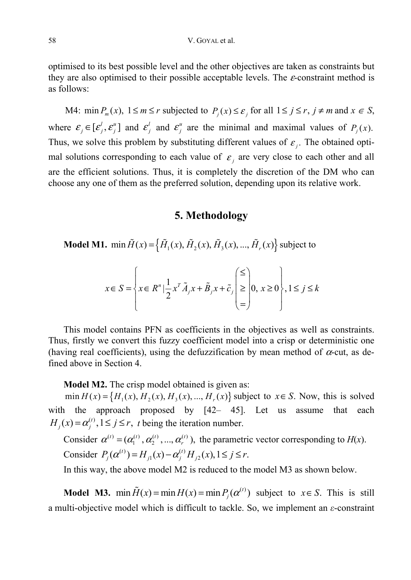optimised to its best possible level and the other objectives are taken as constraints but they are also optimised to their possible acceptable levels. The  $\varepsilon$ -constraint method is as follows:

M4:  $\min P_m(x)$ ,  $1 \le m \le r$  subjected to  $P_j(x) \le \varepsilon_j$  for all  $1 \le j \le r$ ,  $j \ne m$  and  $x \in S$ , where  $\mathcal{E}_j \in [\mathcal{E}_j^l, \mathcal{E}_j^u]$  and  $\mathcal{E}_j^l$  and  $\mathcal{E}_j^u$  are the minimal and maximal values of  $P_j(x)$ . Thus, we solve this problem by substituting different values of  $\varepsilon_i$ . The obtained optimal solutions corresponding to each value of  $\varepsilon$ , are very close to each other and all are the efficient solutions. Thus, it is completely the discretion of the DM who can choose any one of them as the preferred solution, depending upon its relative work.

### **5. Methodology**

**Model M1.** min  $\tilde{H}(x) = \{ \tilde{H}_1(x), \tilde{H}_2(x), \tilde{H}_3(x), ..., \tilde{H}_r(x) \}$  subject to

$$
x \in S = \left\{ x \in R^n \mid \frac{1}{2} x^T \tilde{A}_j x + \tilde{B}_j x + \tilde{c}_j \begin{pmatrix} \le \\ \ge \\ = \end{pmatrix} 0, \ x \ge 0 \right\}, 1 \le j \le k
$$

This model contains PFN as coefficients in the objectives as well as constraints. Thus, firstly we convert this fuzzy coefficient model into a crisp or deterministic one (having real coefficients), using the defuzzification by mean method of  $\alpha$ -cut, as defined above in Section 4.

**Model M2.** The crisp model obtained is given as:

 $\min H(x) = \{ H_1(x), H_2(x), H_3(x), ..., H_r(x) \}$  subject to  $x \in S$ . Now, this is solved with the approach proposed by [42– 45]. Let us assume that each  $H_i(x) = \alpha_i^{(t)}$ ,  $1 \le j \le r$ , *t* being the iteration number.

Consider  $\alpha^{(i)} = (\alpha_1^{(i)}, \alpha_2^{(i)}, ..., \alpha_r^{(i)})$ , the parametric vector corresponding to *H*(*x*). Consider  $P_j(\alpha^{(t)}) = H_{j}(x) - \alpha_j^{(t)} H_{j2}(x), 1 \le j \le r$ .

In this way, the above model M2 is reduced to the model M3 as shown below.

**Model M3.**  $\min \tilde{H}(x) = \min H(x) = \min P_i(\alpha^{(i)})$  subject to  $x \in S$ . This is still a multi-objective model which is difficult to tackle. So, we implement an *ε*-constraint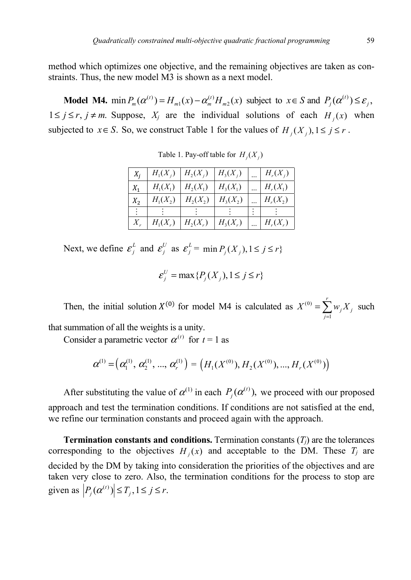method which optimizes one objective, and the remaining objectives are taken as constraints. Thus, the new model M3 is shown as a next model.

**Model M4.**  $\min P_m(\alpha^{(t)}) = H_{m}(x) - \alpha_m^{(t)} H_{m}(x)$  subject to  $x \in S$  and  $P_j(\alpha^{(t)}) \leq \varepsilon_j$ ,  $1 \le j \le r$ ,  $j \ne m$ . Suppose,  $X_j$  are the individual solutions of each  $H_i(x)$  when subjected to  $x \in S$ . So, we construct Table 1 for the values of  $H_i(X_i)$ ,  $1 \le j \le r$ .

| $X_i$ | $H_1(X_i)$ | $H_2(X_i)$ | $H_3(X_i)$ | $H_r(X_i)$ |
|-------|------------|------------|------------|------------|
| $X_1$ | $H_1(X_1)$ | $H_2(X_1)$ | $H_3(X_1)$ | $H_r(X_1)$ |
| $X_2$ | $H_1(X_2)$ | $H_2(X_2)$ | $H_3(X_2)$ | $H_r(X_2)$ |
|       |            |            |            |            |
|       | $H_1(X_r)$ | $H_2(X_r)$ | $H_3(X_r)$ | $H_r(X_r)$ |

Table 1. Pay-off table for  $H_i(X_i)$ 

Next, we define  $\mathcal{E}_j^L$  and  $\mathcal{E}_j^U$  as  $\mathcal{E}_j^L = \min P_j(X_j), 1 \le j \le r$ }

$$
\varepsilon_j^U = \max\{P_j(X_j), 1 \le j \le r\}
$$

Then, the initial solution  $X^{(0)}$  for model M4 is calculated as  $X^{(0)}$ 1 *r*  $\sum_{j=1}^{N} \binom{N}{j}$  $X^{(0)} = \sum_{i} w_{i} X_{i}$  $=\sum_{j=1} w_j X_j$  such

that summation of all the weights is a unity.

Consider a parametric vector  $\alpha^{(t)}$  for  $t = 1$  as

$$
\boldsymbol{\alpha}^{(1)} = (\alpha_1^{(1)}, \alpha_2^{(1)}, ..., \alpha_r^{(1)}) = (H_1(X^{(0)}), H_2(X^{(0)}), ..., H_r(X^{(0)}))
$$

After substituting the value of  $\alpha^{(1)}$  in each  $P_i(\alpha^{(t)})$ , we proceed with our proposed approach and test the termination conditions. If conditions are not satisfied at the end, we refine our termination constants and proceed again with the approach.

**Termination constants and conditions.** Termination constants  $(T<sub>i</sub>)$  are the tolerances corresponding to the objectives  $H_i(x)$  and acceptable to the DM. These  $T_i$  are decided by the DM by taking into consideration the priorities of the objectives and are taken very close to zero. Also, the termination conditions for the process to stop are given as  $|P_i(\alpha^{(t)})| \leq T_i, 1 \leq j \leq r$ .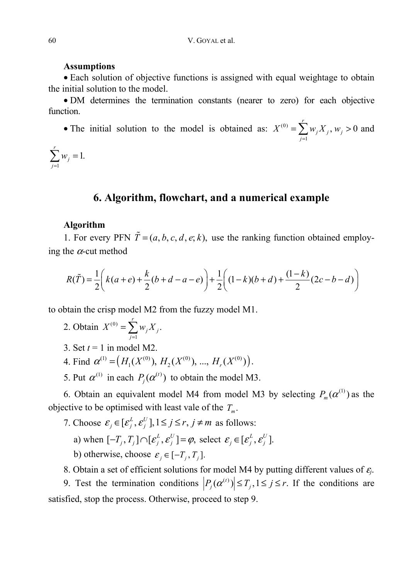#### **Assumptions**

• Each solution of objective functions is assigned with equal weightage to obtain the initial solution to the model.

• DM determines the termination constants (nearer to zero) for each objective function.

• The initial solution to the model is obtained as:  $X^{(0)}$ 1  $\sum_{i=1}^{r} w_i X_i, w_i > 0$  $\sum_{j=1}^{\infty}$ <sup>*w*</sup><sub>*j*</sub> $\Lambda$ <sub>*j*</sub>, *w*<sub>*j*</sub>  $X^{(0)} = \sum_{i} w_{i} X_{i}$ , w  $=\sum_{j=1}^N w_j X_j, w_j > 0$  and

1  $\sum_{i=1}^{r} w_i = 1.$  $\sum_{j=1}^{N}$ *w*  $\sum_{j=1} w_j =$ 

## **6. Algorithm, flowchart, and a numerical example**

#### **Algorithm**

1. For every PFN  $\tilde{T} = (a, b, c, d, e; k)$ , use the ranking function obtained employing the  $\alpha$ -cut method

$$
R(\tilde{T}) = \frac{1}{2} \left( k(a+e) + \frac{k}{2} (b+d-a-e) \right) + \frac{1}{2} \left( (1-k)(b+d) + \frac{(1-k)}{2} (2c-b-d) \right)
$$

to obtain the crisp model M2 from the fuzzy model M1.

- 2. Obtain  $X^{(0)}$ 1  $\sum_{i=1}^r w_i X_i$ .  $\sum_{j=1}^{N}$   $\sum_{j=1}^{N}$  *j*  $X^{(0)} = \sum_{i} w_{i} X_{i}$  $=\sum_{j=1}$
- 3. Set  $t = 1$  in model M2.
- 4. Find  $\alpha^{(1)} = (H_1(X^{(0)}), H_2(X^{(0)}), ..., H_r(X^{(0)})).$
- 5. Put  $\alpha^{(1)}$  in each  $P_i(\alpha^{(t)})$  to obtain the model M3.

6. Obtain an equivalent model M4 from model M3 by selecting  $P_m(\alpha^{(1)})$  as the objective to be optimised with least vale of the  $T_m$ .

- 7. Choose  $\varepsilon_j \in [\varepsilon_j^L, \varepsilon_j^U], 1 \le j \le r, j \ne m$  as follows:
	- a) when  $[-T_i, T_j] \cap [\varepsilon_j^L, \varepsilon_j^U] = \varphi$ , select  $\varepsilon_j \in [\varepsilon_j^L, \varepsilon_j^U]$ .
	- b) otherwise, choose  $\varepsilon_i \in [-T_i, T_i]$ .
- 8. Obtain a set of efficient solutions for model M4 by putting different values of <sup>ε</sup>*j*.

9. Test the termination conditions  $\left| P_j(\alpha^{(i)}) \right| \leq T_j, 1 \leq j \leq r$ . If the conditions are satisfied, stop the process. Otherwise, proceed to step 9.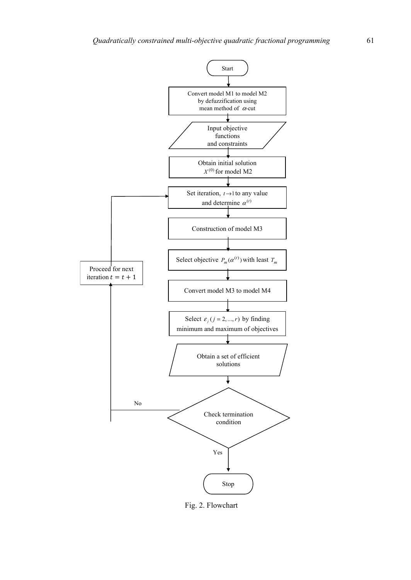

Fig. 2. Flowchart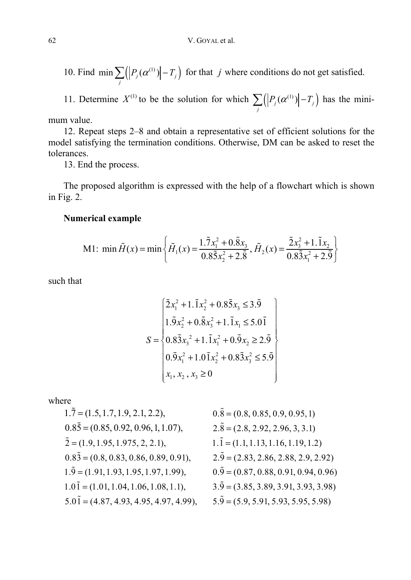10. Find  $\min \sum_{j} ( |P_j(\alpha^{(1)})| - T_j )$  for that *j* where conditions do not get satisfied.

11. Determine  $X^{(1)}$  to be the solution for which  $\sum_j ( |P_j(\alpha^{(1)})| - T_j )$  has the mini-

mum value.

12. Repeat steps 2–8 and obtain a representative set of efficient solutions for the model satisfying the termination conditions. Otherwise, DM can be asked to reset the tolerances.

13. End the process.

The proposed algorithm is expressed with the help of a flowchart which is shown in Fig. 2.

### **Numerical example**

M1: min 
$$
\tilde{H}(x) = \min \left\{ \tilde{H}_1(x) = \frac{1.\tilde{7}x_1^2 + 0.\tilde{8}x_3}{0.8\tilde{5}x_2^2 + 2.\tilde{8}}, \tilde{H}_2(x) = \frac{\tilde{2}x_3^2 + 1.\tilde{1}x_2}{0.8\tilde{3}x_1^2 + 2.\tilde{9}} \right\}
$$

such that

$$
S = \begin{cases} 2x_1^2 + 1.\overline{1}x_2^2 + 0.8\overline{5}x_3 \le 3.\overline{9} \\ 1.\overline{9}x_2^2 + 0.\overline{8}x_3^2 + 1.\overline{1}x_1 \le 5.0\overline{1} \\ 0.8\overline{3}x_3^2 + 1.\overline{1}x_1^2 + 0.\overline{9}x_2 \ge 2.\overline{9} \\ 0.\overline{9}x_1^2 + 1.0\overline{1}x_2^2 + 0.8\overline{3}x_3^2 \le 5.\overline{9} \\ x_1, x_2, x_3 \ge 0 \end{cases}
$$

where

| $1.\overline{7} = (1.5, 1.7, 1.9, 2.1, 2.2),$       | $0.\overline{8} = (0.8, 0.85, 0.9, 0.95, 1)$      |
|-----------------------------------------------------|---------------------------------------------------|
| $0.8\overline{5} = (0.85, 0.92, 0.96, 1, 1.07),$    | $2.\overline{8} = (2.8, 2.92, 2.96, 3, 3.1)$      |
| $\tilde{2} = (1.9, 1.95, 1.975, 2, 2.1),$           | $1.\overline{1} = (1.1, 1.13, 1.16, 1.19, 1.2)$   |
| $0.8\overline{3} = (0.8, 0.83, 0.86, 0.89, 0.91),$  | $2.\overline{9} = (2.83, 2.86, 2.88, 2.9, 2.92)$  |
| $1.\overline{9} = (1.91, 1.93, 1.95, 1.97, 1.99),$  | $0.\overline{9} = (0.87, 0.88, 0.91, 0.94, 0.96)$ |
| $1.0\overline{1} = (1.01, 1.04, 1.06, 1.08, 1.1),$  | $3.\overline{9} = (3.85, 3.89, 3.91, 3.93, 3.98)$ |
| $5.0\overline{1} = (4.87, 4.93, 4.95, 4.97, 4.99),$ | $5.\overline{9} = (5.9, 5.91, 5.93, 5.95, 5.98)$  |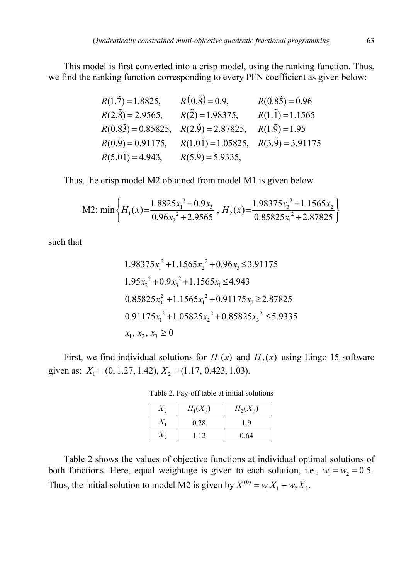This model is first converted into a crisp model, using the ranking function. Thus, we find the ranking function corresponding to every PFN coefficient as given below:

$$
R(1.\overline{7}) = 1.8825, \t R(0.\overline{8}) = 0.9, \t R(0.8\overline{5}) = 0.96
$$
  
\n
$$
R(2.\overline{8}) = 2.9565, \t R(\overline{2}) = 1.98375, \t R(1.\overline{1}) = 1.1565
$$
  
\n
$$
R(0.8\overline{3}) = 0.85825, \t R(2.\overline{9}) = 2.87825, \t R(1.\overline{9}) = 1.95
$$
  
\n
$$
R(0.\overline{9}) = 0.91175, \t R(1.0\overline{1}) = 1.05825, \t R(3.\overline{9}) = 3.91175
$$
  
\n
$$
R(5.0\overline{1}) = 4.943, \t R(5.\overline{9}) = 5.9335,
$$

Thus, the crisp model M2 obtained from model M1 is given below

M2: min 
$$
\left\{ H_1(x) = \frac{1.8825x_1^2 + 0.9x_3}{0.96x_2^2 + 2.9565}, H_2(x) = \frac{1.98375x_3^2 + 1.1565x_2}{0.85825x_1^2 + 2.87825} \right\}
$$

such that

$$
1.98375x_1^2 + 1.1565x_2^2 + 0.96x_3 \le 3.91175
$$
  
\n
$$
1.95x_2^2 + 0.9x_3^2 + 1.1565x_1 \le 4.943
$$
  
\n
$$
0.85825x_3^2 + 1.1565x_1^2 + 0.91175x_2 \ge 2.87825
$$
  
\n
$$
0.91175x_1^2 + 1.05825x_2^2 + 0.85825x_3^2 \le 5.9335
$$
  
\n
$$
x_1, x_2, x_3 \ge 0
$$

First, we find individual solutions for  $H_1(x)$  and  $H_2(x)$  using Lingo 15 software given as:  $X_1 = (0, 1.27, 1.42), X_2 = (1.17, 0.423, 1.03).$ 

| Λ       | $H_1(X_i)$ | $H_2(X_i)$ |
|---------|------------|------------|
| $X_{1}$ | 0.28       | 1.9        |
|         | 112        | 0.64       |

Table 2. Pay-off table at initial solutions

Table 2 shows the values of objective functions at individual optimal solutions of both functions. Here, equal weightage is given to each solution, i.e.,  $w_1 = w_2 = 0.5$ . Thus, the initial solution to model M2 is given by  $X^{(0)} = w_1 X_1 + w_2 X_2$ .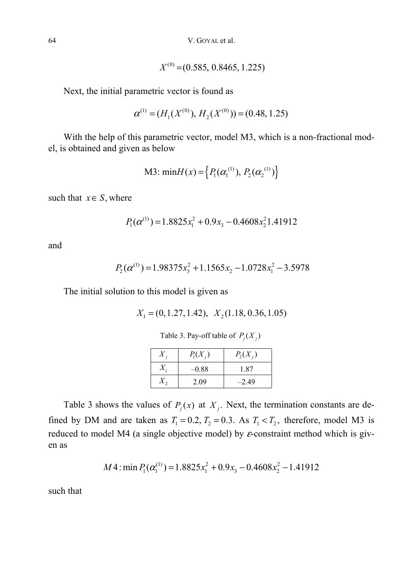64 V. GOYAL et al.

$$
X^{(0)} = (0.585, 0.8465, 1.225)
$$

Next, the initial parametric vector is found as

$$
\alpha^{(1)} = (H_1(X^{(0)}), H_2(X^{(0)})) = (0.48, 1.25)
$$

With the help of this parametric vector, model M3, which is a non-fractional model, is obtained and given as below

M3: min
$$
H(x) = \{P_1(\alpha_1^{(1)}), P_2(\alpha_2^{(1)})\}
$$

such that  $x \in S$ , where

$$
P_1(\alpha^{(1)}) = 1.8825x_1^2 + 0.9x_3 - 0.4608x_2^21.41912
$$

and

$$
P_2(\alpha^{(1)}) = 1.98375x_3^2 + 1.1565x_2 - 1.0728x_1^2 - 3.5978
$$

The initial solution to this model is given as

$$
X_1 = (0, 1.27, 1.42), X_2(1.18, 0.36, 1.05)
$$

Table 3. Pay-off table of  $P_i(X_i)$ 

| X | $P_1(X_i)$ | $P_2(X_i)$ |
|---|------------|------------|
|   | $-0.88$    | 1.87       |
|   | 2.09       | $-2.49$    |

Table 3 shows the values of  $P_i(x)$  at  $X_i$ . Next, the termination constants are defined by DM and are taken as  $T_1 = 0.2$ ,  $T_2 = 0.3$ . As  $T_1 < T_2$ , therefore, model M3 is reduced to model M4 (a single objective model) by  $\varepsilon$ -constraint method which is given as

$$
M4: \min P_1(\alpha_1^{(1)}) = 1.8825x_1^2 + 0.9x_3 - 0.4608x_2^2 - 1.41912
$$

such that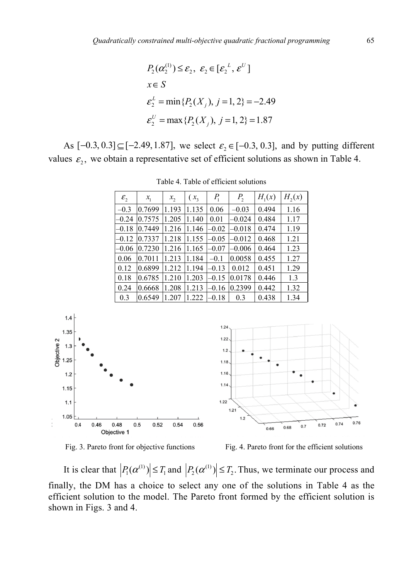$$
P_2(\alpha_2^{(1)}) \le \varepsilon_2, \ \varepsilon_2 \in [\varepsilon_2^L, \varepsilon^U]
$$
  

$$
x \in S
$$
  

$$
\varepsilon_2^L = \min\{P_2(X_j), j = 1, 2\} = -2.49
$$
  

$$
\varepsilon_2^U = \max\{P_2(X_j), j = 1, 2\} = 1.87
$$

As  $[-0.3, 0.3] \subseteq [-2.49, 1.87]$ , we select  $\varepsilon_2 \in [-0.3, 0.3]$ , and by putting different values  $\varepsilon$ <sub>2</sub>, we obtain a representative set of efficient solutions as shown in Table 4.

| $\mathcal{E}_2$ | $x_{1}$ | $x_2$ | $(x_3)$ | $P_1$   | P <sub>2</sub> | $H_1(x)$ | $H_2(x)$ |
|-----------------|---------|-------|---------|---------|----------------|----------|----------|
| $-0.3$          | 0.7699  | 1.193 | 1.135   | 0.06    | $-0.03$        | 0.494    | 1.16     |
| $-0.24$         | 0.7575  | 1.205 | 1.140   | 0.01    | $-0.024$       | 0.484    | 1.17     |
| $-0.18$         | 0.7449  | 1.216 | 1.146   | $-0.02$ | $-0.018$       | 0.474    | 1.19     |
| $-0.12$         | 0.7337  | 1.218 | 1.155   | $-0.05$ | $-0.012$       | 0.468    | 1.21     |
| $-0.06$         | 0.7230  | 1.216 | 1.165   | $-0.07$ | $-0.006$       | 0.464    | 1.23     |
| 0.06            | 0.7011  | 1.213 | 1.184   | $-0.1$  | 0.0058         | 0.455    | 1.27     |
| 0.12            | 0.6899  | 1.212 | 1.194   | $-0.13$ | 0.012          | 0.451    | 1.29     |
| 0.18            | 0.6785  | 1.210 | 1.203   | $-0.15$ | 0.0178         | 0.446    | 1.3      |
| 0.24            | 0.6668  | 1.208 | 1.213   | $-0.16$ | 0.2399         | 0.442    | 1.32     |
| 0.3             | 0.6549  | 1.207 | 1.222   | $-0.18$ | 0.3            | 0.438    | 1.34     |

Table 4. Table of efficient solutions





Fig. 3. Pareto front for objective functions Fig. 4. Pareto front for the efficient solutions

 $0.76$ 

It is clear that  $|P_1(\alpha^{(1)})| \leq T_1$  and  $|P_2(\alpha^{(1)})| \leq T_2$ . Thus, we terminate our process and finally, the DM has a choice to select any one of the solutions in Table 4 as the efficient solution to the model. The Pareto front formed by the efficient solution is shown in Figs. 3 and 4.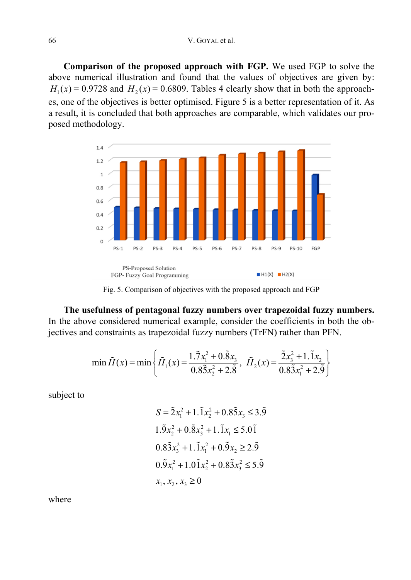#### 66 V. GOYAL et al.

**Comparison of the proposed approach with FGP.** We used FGP to solve the above numerical illustration and found that the values of objectives are given by:  $H_1(x) = 0.9728$  and  $H_2(x) = 0.6809$ . Tables 4 clearly show that in both the approaches, one of the objectives is better optimised. Figure 5 is a better representation of it. As a result, it is concluded that both approaches are comparable, which validates our proposed methodology.



Fig. 5. Comparison of objectives with the proposed approach and FGP

**The usefulness of pentagonal fuzzy numbers over trapezoidal fuzzy numbers.**  In the above considered numerical example, consider the coefficients in both the objectives and constraints as trapezoidal fuzzy numbers (TrFN) rather than PFN.

$$
\min \tilde{H}(x) = \min \left\{ \tilde{H}_1(x) = \frac{1.\tilde{7}x_1^2 + 0.\tilde{8}x_3}{0.8\tilde{5}x_2^2 + 2.\tilde{8}}, \ \tilde{H}_2(x) = \frac{\tilde{2}x_3^2 + 1.\tilde{1}x_2}{0.8\tilde{3}x_1^2 + 2.\tilde{9}} \right\}
$$

subject to

$$
S = \tilde{2}x_1^2 + 1.\tilde{1}x_2^2 + 0.8\tilde{5}x_3 \le 3.\tilde{9}
$$
  
\n
$$
1.\tilde{9}x_2^2 + 0.\tilde{8}x_3^2 + 1.\tilde{1}x_1 \le 5.0\tilde{1}
$$
  
\n
$$
0.8\tilde{3}x_3^2 + 1.\tilde{1}x_1^2 + 0.\tilde{9}x_2 \ge 2.\tilde{9}
$$
  
\n
$$
0.\tilde{9}x_1^2 + 1.0\tilde{1}x_2^2 + 0.8\tilde{3}x_3^2 \le 5.\tilde{9}
$$
  
\n
$$
x_1, x_2, x_3 \ge 0
$$

where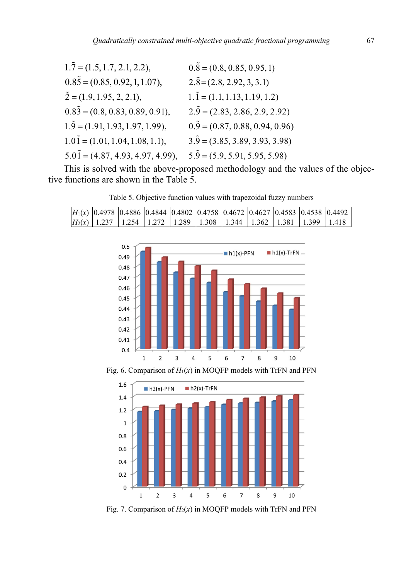| $1.\tilde{7} = (1.5, 1.7, 2.1, 2.2),$        | $0.\overline{8} = (0.8, 0.85, 0.95, 1)$     |
|----------------------------------------------|---------------------------------------------|
| $0.85 = (0.85, 0.92, 1, 1.07),$              | $2.\overline{8} = (2.8, 2.92, 3, 3.1)$      |
| $\tilde{2} = (1.9, 1.95, 2, 2.1),$           | $1.\tilde{1} = (1.1, 1.13, 1.19, 1.2)$      |
| $0.8\overline{3} = (0.8, 0.83, 0.89, 0.91),$ | $2.\overline{9} = (2.83, 2.86, 2.9, 2.92)$  |
| $1.\overline{9} = (1.91, 1.93, 1.97, 1.99),$ | $0.\overline{9} = (0.87, 0.88, 0.94, 0.96)$ |
| $1.0\tilde{1} = (1.01, 1.04, 1.08, 1.1),$    | $3.\overline{9} = (3.85, 3.89, 3.93, 3.98)$ |
| $5.0\tilde{1} = (4.87, 4.93, 4.97, 4.99),$   | $5.\overline{9} = (5.9, 5.91, 5.95, 5.98)$  |

This is solved with the above-proposed methodology and the values of the objective functions are shown in the Table 5.

Table 5. Objective function values with trapezoidal fuzzy numbers

|  |  |  |  | H1(x)  0.4978  0.4886  0.4844  0.4802  0.4758  0.4672  0.4627  0.4583  0.4538  0.4492              |  |
|--|--|--|--|----------------------------------------------------------------------------------------------------|--|
|  |  |  |  | H <sub>2</sub> (x)   1.237   1.254   1.272   1.289   1.308   1.344   1.362   1.381   1.399   1.418 |  |



Fig. 6. Comparison of *H*1(*x*) in MOQFP models with TrFN and PFN



Fig. 7. Comparison of  $H_2(x)$  in MOQFP models with TrFN and PFN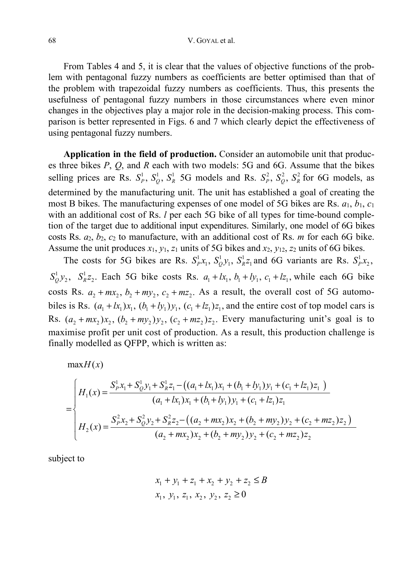#### 68 V. GOYAL et al.

From Tables 4 and 5, it is clear that the values of objective functions of the problem with pentagonal fuzzy numbers as coefficients are better optimised than that of the problem with trapezoidal fuzzy numbers as coefficients. Thus, this presents the usefulness of pentagonal fuzzy numbers in those circumstances where even minor changes in the objectives play a major role in the decision-making process. This comparison is better represented in Figs. 6 and 7 which clearly depict the effectiveness of using pentagonal fuzzy numbers.

**Application in the field of production.** Consider an automobile unit that produces three bikes *P*, *Q*, and *R* each with two models: 5G and 6G. Assume that the bikes selling prices are Rs.  $S_p^1$ ,  $S_Q^1$ ,  $S_R^1$  5G models and Rs.  $S_p^2$ ,  $S_Q^2$ ,  $S_R^2$  for 6G models, as determined by the manufacturing unit. The unit has established a goal of creating the most B bikes. The manufacturing expenses of one model of 5G bikes are Rs. *a*1, *b*1, *c*<sup>1</sup> with an additional cost of Rs. *l* per each 5G bike of all types for time-bound completion of the target due to additional input expenditures. Similarly, one model of 6G bikes costs Rs. *a*2, *b*2, *c*2 to manufacture, with an additional cost of Rs. *m* for each 6G bike. Assume the unit produces  $x_1$ ,  $y_1$ ,  $z_1$  units of 5G bikes and  $x_2$ ,  $y_{12}$ ,  $z_2$  units of 6G bikes.

The costs for 5G bikes are Rs.  $S_p^1x_1$ ,  $S_q^1y_1$ ,  $S_R^1z_1$  and 6G variants are Rs.  $S_p^1x_2$ ,  $S_0^1 y_2$ ,  $S_R^1 z_2$ . Each 5G bike costs Rs.  $a_1 + k_1$ ,  $b_1 + k_1$ ,  $c_1 + k_2$ , while each 6G bike costs Rs.  $a_2 + mx_2$ ,  $b_2 + my_2$ ,  $c_2 + mz_2$ . As a result, the overall cost of 5G automobiles is Rs.  $(a_1 + k_1)x_1$ ,  $(b_1 + ky_1)y_1$ ,  $(c_1 + kz_1)z_1$ , and the entire cost of top model cars is Rs.  $(a_2 + mx_2)x_2$ ,  $(b_2 + my_2)y_2$ ,  $(c_2 + mz_2)z_2$ . Every manufacturing unit's goal is to maximise profit per unit cost of production. As a result, this production challenge is finally modelled as QFPP, which is written as:

 $maxH(x)$ 

$$
= \begin{cases} H_1(x) = \frac{S_p^1 x_1 + S_Q^1 y_1 + S_R^1 z_1 - ((a_1 + lx_1) x_1 + (b_1 + ly_1) y_1 + (c_1 + Iz_1) z_1)}{(a_1 + lx_1) x_1 + (b_1 + ly_1) y_1 + (c_1 + Iz_1) z_1} \\ H_2(x) = \frac{S_p^2 x_2 + S_Q^2 y_2 + S_R^2 z_2 - ((a_2 + mx_2) x_2 + (b_2 + my_2) y_2 + (c_2 + mz_2) z_2)}{(a_2 + mx_2) x_2 + (b_2 + my_2) y_2 + (c_2 + mz_2) z_2} \end{cases}
$$

subject to

$$
x_1 + y_1 + z_1 + x_2 + y_2 + z_2 \le B
$$
  

$$
x_1, y_1, z_1, x_2, y_2, z_2 \ge 0
$$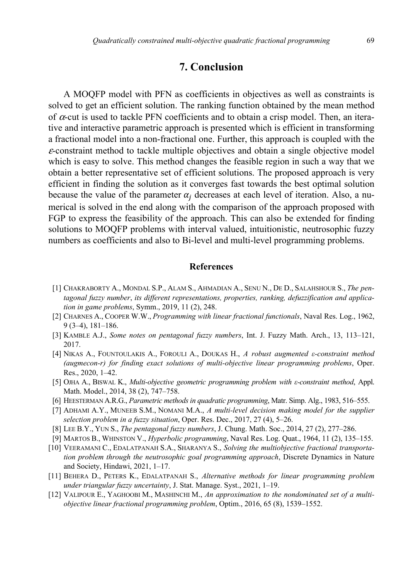### **7. Conclusion**

A MOQFP model with PFN as coefficients in objectives as well as constraints is solved to get an efficient solution. The ranking function obtained by the mean method of  $\alpha$ -cut is used to tackle PFN coefficients and to obtain a crisp model. Then, an iterative and interactive parametric approach is presented which is efficient in transforming a fractional model into a non-fractional one. Further, this approach is coupled with the  $\varepsilon$ -constraint method to tackle multiple objectives and obtain a single objective model which is easy to solve. This method changes the feasible region in such a way that we obtain a better representative set of efficient solutions. The proposed approach is very efficient in finding the solution as it converges fast towards the best optimal solution because the value of the parameter  $\alpha_i$  decreases at each level of iteration. Also, a numerical is solved in the end along with the comparison of the approach proposed with FGP to express the feasibility of the approach. This can also be extended for finding solutions to MOQFP problems with interval valued, intuitionistic, neutrosophic fuzzy numbers as coefficients and also to Bi-level and multi-level programming problems.

### **References**

- [1] CHAKRABORTY A., MONDAL S.P., ALAM S., AHMADIAN A., SENU N., DE D., SALAHSHOUR S., *The pentagonal fuzzy number*, *its different representations, properties, ranking, defuzzification and application in game problems*, Symm., 2019, 11 (2), 248.
- [2] CHARNES A., COOPER W.W., *Programming with linear fractional functionals*, Naval Res. Log., 1962, 9 (3–4), 181–186.
- [3] KAMBLE A.J., *Some notes on pentagonal fuzzy numbers*, Int. J. Fuzzy Math. Arch., 13, 113–121, 2017.
- [4] NIKAS A., FOUNTOULAKIS A., FOROULI A., DOUKAS H., *A robust augmented ε-constraint method (augmecon-r) for finding exact solutions of multi-objective linear programming problems*, Oper. Res., 2020, 1–42.
- [5] OJHA A., BISWAL K., *Multi-objective geometric programming problem with ε-constraint method*, Appl. Math. Model., 2014, 38 (2), 747–758.
- [6] HEESTERMAN A.R.G., *Parametric methods in quadratic programming*, Matr. Simp. Alg., 1983, 516–555.
- [7] ADHAMI A.Y., MUNEEB S.M., NOMANI M.A., *A multi-level decision making model for the supplier selection problem in a fuzzy situation*, Oper. Res. Dec., 2017, 27 (4), 5–26.
- [8] LEE B.Y., YUN S., *The pentagonal fuzzy numbers*, J. Chung. Math. Soc., 2014, 27 (2), 277–286.
- [9] MARTOS B., WHINSTON V., *Hyperbolic programming*, Naval Res. Log. Quat., 1964, 11 (2), 135–155.
- [10] VEERAMANI C., EDALATPANAH S.A., SHARANYA S., *Solving the multiobjective fractional transportation problem through the neutrosophic goal programming approach*, Discrete Dynamics in Nature and Society, Hindawi, 2021, 1–17.
- [11] BEHERA D., PETERS K., EDALATPANAH S., *Alternative methods for linear programming problem under triangular fuzzy uncertainty*, J. Stat. Manage. Syst., 2021, 1–19.
- [12] VALIPOUR E., YAGHOOBI M., MASHINCHI M., *An approximation to the nondominated set of a multiobjective linear fractional programming problem*, Optim., 2016, 65 (8), 1539–1552.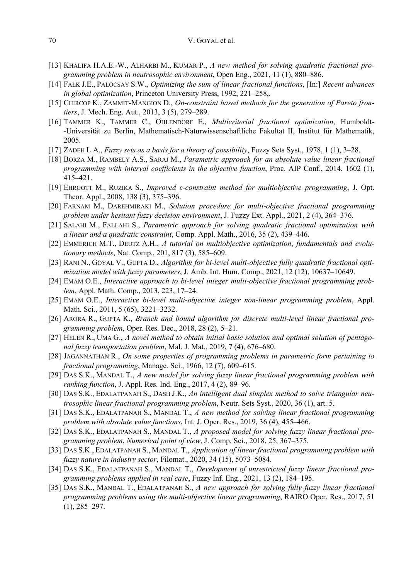- [13] KHALIFA H.A.E.-W., ALHARBI M., KUMAR P., *A new method for solving quadratic fractional programming problem in neutrosophic environment*, Open Eng., 2021, 11 (1), 880–886.
- [14] FALK J.E., PALOCSAY S.W., *Optimizing the sum of linear fractional functions*, [In:] *Recent advances in global optimization*, Princeton University Press, 1992, 221–258,.
- [15] CHIRCOP K., ZAMMIT-MANGION D., *On-constraint based methods for the generation of Pareto frontiers*, J. Mech. Eng. Aut., 2013, 3 (5), 279–289.
- [16] TAMMER K., TAMMER C., OHLENDORF E., *Multicriterial fractional optimization*, Humboldt- -Universität zu Berlin, Mathematisch-Naturwissenschaftliche Fakultat II, Institut für Mathematik, 2005.
- [17] ZADEH L.A., *Fuzzy sets as a basis for a theory of possibility*, Fuzzy Sets Syst., 1978, 1 (1), 3–28.
- [18] BORZA M., RAMBELY A.S., SARAJ M., *Parametric approach for an absolute value linear fractional programming with interval coefficients in the objective function*, Proc. AIP Conf., 2014, 1602 (1), 415–421.
- [19] EHRGOTT M., RUZIKA S., *Improved ε-constraint method for multiobjective programming*, J. Opt. Theor. Appl., 2008, 138 (3), 375–396.
- [20] FARNAM M., DAREHMIRAKI M., *Solution procedure for multi-objective fractional programming problem under hesitant fuzzy decision environment*, J. Fuzzy Ext. Appl., 2021, 2 (4), 364–376.
- [21] SALAHI M., FALLAHI S., *Parametric approach for solving quadratic fractional optimization with a linear and a quadratic constraint*, Comp. Appl. Math., 2016, 35 (2), 439–446.
- [22] EMMERICH M.T., DEUTZ A.H., *A tutorial on multiobjective optimization*, *fundamentals and evolutionary methods*, Nat. Comp., 201, 817 (3), 585–609.
- [23] RANI N., GOYAL V., GUPTA D., *Algorithm for bi-level multi-objective fully quadratic fractional optimization model with fuzzy parameters*, J. Amb. Int. Hum. Comp., 2021, 12 (12), 10637–10649.
- [24] EMAM O.E., *Interactive approach to bi-level integer multi-objective fractional programming problem*, Appl. Math. Comp., 2013, 223, 17–24.
- [25] EMAM O.E., *Interactive bi-level multi-objective integer non-linear programming problem*, Appl. Math. Sci., 2011, 5 (65), 3221–3232.
- [26] ARORA R., GUPTA K., *Branch and bound algorithm for discrete multi-level linear fractional programming problem*, Oper. Res. Dec., 2018, 28 (2), 5–21.
- [27] HELEN R., UMA G., *A novel method to obtain initial basic solution and optimal solution of pentagonal fuzzy transportation problem*, Mal. J. Mat., 2019, 7 (4), 676–680.
- [28] JAGANNATHAN R., *On some properties of programming problems in parametric form pertaining to fractional programming*, Manage. Sci., 1966, 12 (7), 609–615.
- [29] DAS S.K., MANDAL T., *A new model for solving fuzzy linear fractional programming problem with ranking function*, J. Appl. Res. Ind. Eng., 2017, 4 (2), 89–96.
- [30] DAS S.K., EDALATPANAH S., DASH J.K., *An intelligent dual simplex method to solve triangular neutrosophic linear fractional programming problem*, Neutr. Sets Syst., 2020, 36 (1), art. 5.
- [31] DAS S.K., EDALATPANAH S., MANDAL T., *A new method for solving linear fractional programming problem with absolute value functions*, Int. J. Oper. Res., 2019, 36 (4), 455–466.
- [32] DAS S.K., EDALATPANAH S., MANDAL T., *A proposed model for solving fuzzy linear fractional programming problem*, *Numerical point of view*, J. Comp. Sci., 2018, 25, 367–375.
- [33] DAS S.K., EDALATPANAH S., MANDAL T., *Application of linear fractional programming problem with fuzzy nature in industry sector*, Filomat., 2020, 34 (15), 5073–5084.
- [34] DAS S.K., EDALATPANAH S., MANDAL T., *Development of unrestricted fuzzy linear fractional programming problems applied in real case*, Fuzzy Inf. Eng., 2021, 13 (2), 184–195.
- [35] DAS S.K., MANDAL T., EDALATPANAH S., *A new approach for solving fully fuzzy linear fractional programming problems using the multi-objective linear programming*, RAIRO Oper. Res., 2017, 51 (1), 285–297.